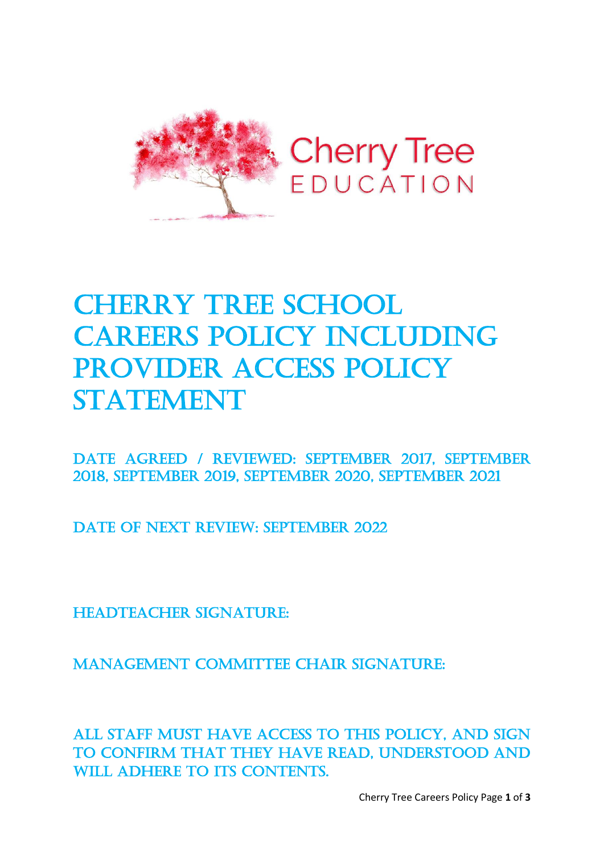

# **CHERRY TREE SCHOOL** careers Policy including PROVIDER ACCESS POLICY **STATEMENT**

DATE AGREED / REVIEWED: SEPTEMBER 2017, SEPTEMBER 2018, September 2019, September 2020, September 2021

DATE OF NEXT REVIEW: SEPTEMBER 2022

HEADTEACHER SIGNATURE:

MANAGEMENT COMMITTEE CHAIR SIGNATURE:

All staff must have access to this policy, and sign to confirm that they have read, understood and WILL ADHERE TO ITS CONTENTS.

Cherry Tree Careers Policy Page **1** of **3**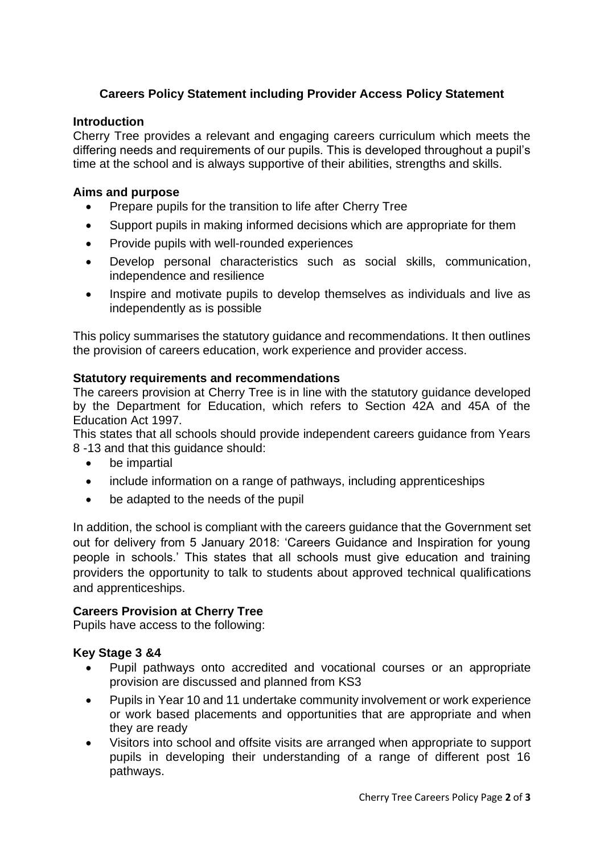# **Careers Policy Statement including Provider Access Policy Statement**

# **Introduction**

Cherry Tree provides a relevant and engaging careers curriculum which meets the differing needs and requirements of our pupils. This is developed throughout a pupil's time at the school and is always supportive of their abilities, strengths and skills.

# **Aims and purpose**

- Prepare pupils for the transition to life after Cherry Tree
- Support pupils in making informed decisions which are appropriate for them
- Provide pupils with well-rounded experiences
- Develop personal characteristics such as social skills, communication, independence and resilience
- Inspire and motivate pupils to develop themselves as individuals and live as independently as is possible

This policy summarises the statutory guidance and recommendations. It then outlines the provision of careers education, work experience and provider access.

#### **Statutory requirements and recommendations**

The careers provision at Cherry Tree is in line with the statutory guidance developed by the Department for Education, which refers to Section 42A and 45A of the Education Act 1997.

This states that all schools should provide independent careers guidance from Years 8 -13 and that this guidance should:

- be impartial
- include information on a range of pathways, including apprenticeships
- be adapted to the needs of the pupil

In addition, the school is compliant with the careers guidance that the Government set out for delivery from 5 January 2018: 'Careers Guidance and Inspiration for young people in schools.' This states that all schools must give education and training providers the opportunity to talk to students about approved technical qualifications and apprenticeships.

#### **Careers Provision at Cherry Tree**

Pupils have access to the following:

#### **Key Stage 3 &4**

- Pupil pathways onto accredited and vocational courses or an appropriate provision are discussed and planned from KS3
- Pupils in Year 10 and 11 undertake community involvement or work experience or work based placements and opportunities that are appropriate and when they are ready
- Visitors into school and offsite visits are arranged when appropriate to support pupils in developing their understanding of a range of different post 16 pathways.